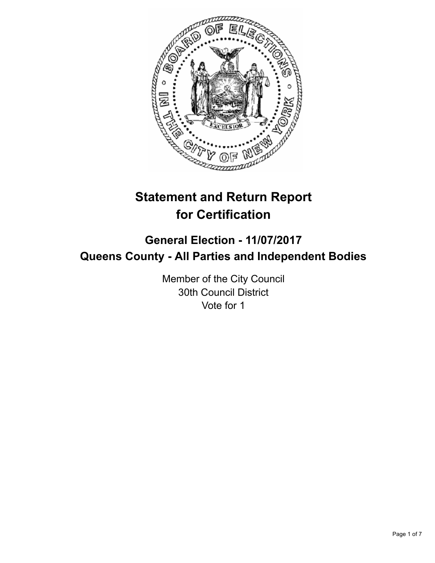

# **Statement and Return Report for Certification**

# **General Election - 11/07/2017 Queens County - All Parties and Independent Bodies**

Member of the City Council 30th Council District Vote for 1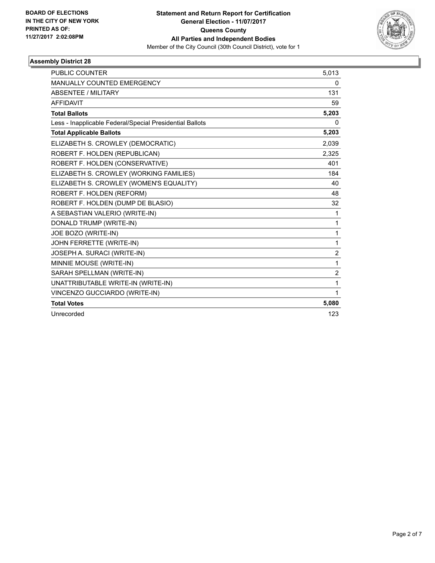

| <b>PUBLIC COUNTER</b>                                    | 5,013          |
|----------------------------------------------------------|----------------|
| <b>MANUALLY COUNTED EMERGENCY</b>                        | 0              |
| <b>ABSENTEE / MILITARY</b>                               | 131            |
| <b>AFFIDAVIT</b>                                         | 59             |
| <b>Total Ballots</b>                                     | 5,203          |
| Less - Inapplicable Federal/Special Presidential Ballots | 0              |
| <b>Total Applicable Ballots</b>                          | 5,203          |
| ELIZABETH S. CROWLEY (DEMOCRATIC)                        | 2,039          |
| ROBERT F. HOLDEN (REPUBLICAN)                            | 2,325          |
| ROBERT F. HOLDEN (CONSERVATIVE)                          | 401            |
| ELIZABETH S. CROWLEY (WORKING FAMILIES)                  | 184            |
| ELIZABETH S. CROWLEY (WOMEN'S EQUALITY)                  | 40             |
| ROBERT F. HOLDEN (REFORM)                                | 48             |
| ROBERT F. HOLDEN (DUMP DE BLASIO)                        | 32             |
| A SEBASTIAN VALERIO (WRITE-IN)                           | $\mathbf 1$    |
| DONALD TRUMP (WRITE-IN)                                  | 1              |
| JOE BOZO (WRITE-IN)                                      | $\mathbf{1}$   |
| JOHN FERRETTE (WRITE-IN)                                 | 1              |
| JOSEPH A. SURACI (WRITE-IN)                              | $\overline{c}$ |
| MINNIE MOUSE (WRITE-IN)                                  | 1              |
| SARAH SPELLMAN (WRITE-IN)                                | $\overline{2}$ |
| UNATTRIBUTABLE WRITE-IN (WRITE-IN)                       | 1              |
| VINCENZO GUCCIARDO (WRITE-IN)                            | $\mathbf{1}$   |
| <b>Total Votes</b>                                       | 5,080          |
| Unrecorded                                               | 123            |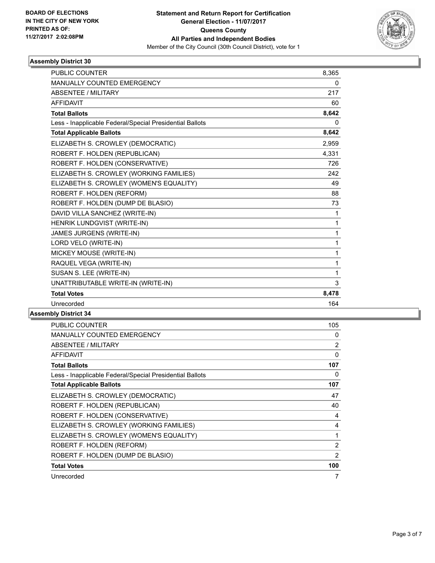

| <b>PUBLIC COUNTER</b>                                    | 8,365        |
|----------------------------------------------------------|--------------|
| <b>MANUALLY COUNTED EMERGENCY</b>                        | 0            |
| <b>ABSENTEE / MILITARY</b>                               | 217          |
| <b>AFFIDAVIT</b>                                         | 60           |
| <b>Total Ballots</b>                                     | 8,642        |
| Less - Inapplicable Federal/Special Presidential Ballots | $\mathbf{0}$ |
| <b>Total Applicable Ballots</b>                          | 8,642        |
| ELIZABETH S. CROWLEY (DEMOCRATIC)                        | 2,959        |
| ROBERT F. HOLDEN (REPUBLICAN)                            | 4,331        |
| ROBERT F. HOLDEN (CONSERVATIVE)                          | 726          |
| ELIZABETH S. CROWLEY (WORKING FAMILIES)                  | 242          |
| ELIZABETH S. CROWLEY (WOMEN'S EQUALITY)                  | 49           |
| ROBERT F. HOLDEN (REFORM)                                | 88           |
| ROBERT F. HOLDEN (DUMP DE BLASIO)                        | 73           |
| DAVID VILLA SANCHEZ (WRITE-IN)                           | 1            |
| HENRIK LUNDGVIST (WRITE-IN)                              | 1            |
| JAMES JURGENS (WRITE-IN)                                 | 1            |
| LORD VELO (WRITE-IN)                                     | 1            |
| MICKEY MOUSE (WRITE-IN)                                  | 1            |
| RAQUEL VEGA (WRITE-IN)                                   | 1            |
| SUSAN S. LEE (WRITE-IN)                                  | 1            |
| UNATTRIBUTABLE WRITE-IN (WRITE-IN)                       | 3            |
| <b>Total Votes</b>                                       | 8,478        |
| Unrecorded                                               | 164          |

| <b>PUBLIC COUNTER</b>                                    | 105 |
|----------------------------------------------------------|-----|
| <b>MANUALLY COUNTED EMERGENCY</b>                        | 0   |
| ABSENTEE / MILITARY                                      | 2   |
| <b>AFFIDAVIT</b>                                         | 0   |
| <b>Total Ballots</b>                                     | 107 |
| Less - Inapplicable Federal/Special Presidential Ballots | 0   |
| <b>Total Applicable Ballots</b>                          | 107 |
| ELIZABETH S. CROWLEY (DEMOCRATIC)                        | 47  |
| ROBERT F. HOLDEN (REPUBLICAN)                            | 40  |
| ROBERT F. HOLDEN (CONSERVATIVE)                          | 4   |
| ELIZABETH S. CROWLEY (WORKING FAMILIES)                  | 4   |
| ELIZABETH S. CROWLEY (WOMEN'S EQUALITY)                  | 1   |
| ROBERT F. HOLDEN (REFORM)                                | 2   |
| ROBERT F. HOLDEN (DUMP DE BLASIO)                        | 2   |
| <b>Total Votes</b>                                       | 100 |
| Unrecorded                                               | 7   |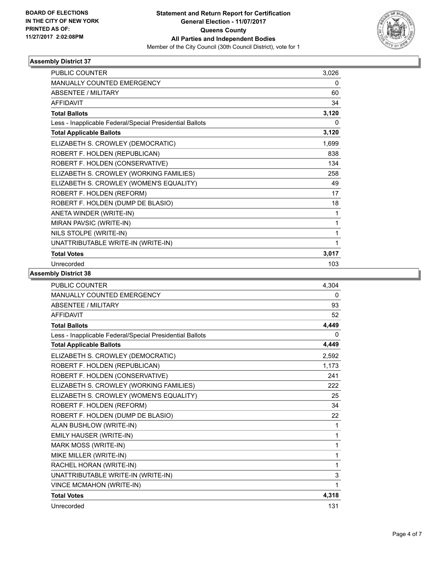

| <b>PUBLIC COUNTER</b>                                    | 3,026 |
|----------------------------------------------------------|-------|
| <b>MANUALLY COUNTED EMERGENCY</b>                        | 0     |
| <b>ABSENTEE / MILITARY</b>                               | 60    |
| <b>AFFIDAVIT</b>                                         | 34    |
| <b>Total Ballots</b>                                     | 3,120 |
| Less - Inapplicable Federal/Special Presidential Ballots | 0     |
| <b>Total Applicable Ballots</b>                          | 3,120 |
| ELIZABETH S. CROWLEY (DEMOCRATIC)                        | 1,699 |
| ROBERT F. HOLDEN (REPUBLICAN)                            | 838   |
| ROBERT F. HOLDEN (CONSERVATIVE)                          | 134   |
| ELIZABETH S. CROWLEY (WORKING FAMILIES)                  | 258   |
| ELIZABETH S. CROWLEY (WOMEN'S EQUALITY)                  | 49    |
| ROBERT F. HOLDEN (REFORM)                                | 17    |
| ROBERT F. HOLDEN (DUMP DE BLASIO)                        | 18    |
| ANETA WINDER (WRITE-IN)                                  | 1     |
| MIRAN PAVSIC (WRITE-IN)                                  | 1     |
| NILS STOLPE (WRITE-IN)                                   | 1     |
| UNATTRIBUTABLE WRITE-IN (WRITE-IN)                       | 1     |
| <b>Total Votes</b>                                       | 3,017 |
| Unrecorded                                               | 103   |

| <b>PUBLIC COUNTER</b>                                    | 4.304 |
|----------------------------------------------------------|-------|
| <b>MANUALLY COUNTED EMERGENCY</b>                        | 0     |
| <b>ABSENTEE / MILITARY</b>                               | 93    |
| <b>AFFIDAVIT</b>                                         | 52    |
| <b>Total Ballots</b>                                     | 4,449 |
| Less - Inapplicable Federal/Special Presidential Ballots | 0     |
| <b>Total Applicable Ballots</b>                          | 4,449 |
| ELIZABETH S. CROWLEY (DEMOCRATIC)                        | 2,592 |
| ROBERT F. HOLDEN (REPUBLICAN)                            | 1,173 |
| ROBERT F. HOLDEN (CONSERVATIVE)                          | 241   |
| ELIZABETH S. CROWLEY (WORKING FAMILIES)                  | 222   |
| ELIZABETH S. CROWLEY (WOMEN'S EQUALITY)                  | 25    |
| ROBERT F. HOLDEN (REFORM)                                | 34    |
| ROBERT F. HOLDEN (DUMP DE BLASIO)                        | 22    |
| ALAN BUSHLOW (WRITE-IN)                                  | 1     |
| EMILY HAUSER (WRITE-IN)                                  | 1     |
| MARK MOSS (WRITE-IN)                                     | 1     |
| MIKE MILLER (WRITE-IN)                                   | 1     |
| RACHEL HORAN (WRITE-IN)                                  | 1     |
| UNATTRIBUTABLE WRITE-IN (WRITE-IN)                       | 3     |
| <b>VINCE MCMAHON (WRITE-IN)</b>                          | 1     |
| <b>Total Votes</b>                                       | 4,318 |
| Unrecorded                                               | 131   |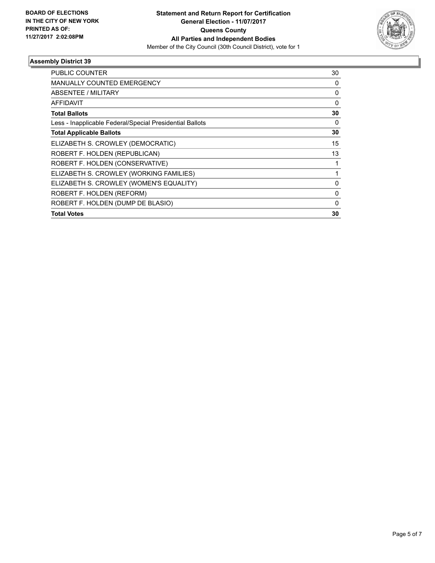

| <b>PUBLIC COUNTER</b>                                    | 30           |
|----------------------------------------------------------|--------------|
| <b>MANUALLY COUNTED EMERGENCY</b>                        | 0            |
| <b>ABSENTEE / MILITARY</b>                               | 0            |
| <b>AFFIDAVIT</b>                                         | $\Omega$     |
| <b>Total Ballots</b>                                     | 30           |
| Less - Inapplicable Federal/Special Presidential Ballots | 0            |
| <b>Total Applicable Ballots</b>                          | 30           |
| ELIZABETH S. CROWLEY (DEMOCRATIC)                        | 15           |
| ROBERT F. HOLDEN (REPUBLICAN)                            | 13           |
| ROBERT F. HOLDEN (CONSERVATIVE)                          |              |
| ELIZABETH S. CROWLEY (WORKING FAMILIES)                  |              |
| ELIZABETH S. CROWLEY (WOMEN'S EQUALITY)                  | $\Omega$     |
| ROBERT F. HOLDEN (REFORM)                                | 0            |
| ROBERT F. HOLDEN (DUMP DE BLASIO)                        | $\mathbf{0}$ |
| <b>Total Votes</b>                                       | 30           |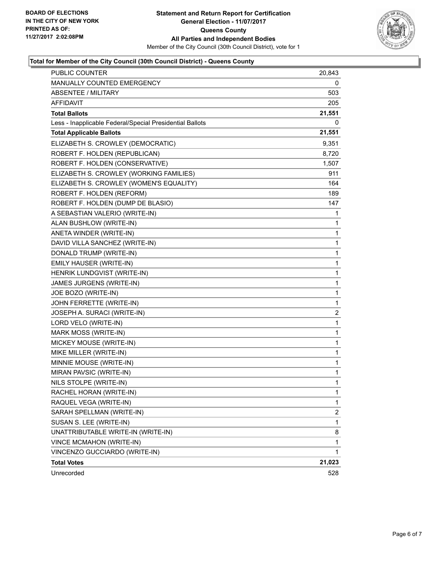

# **Total for Member of the City Council (30th Council District) - Queens County**

| <b>PUBLIC COUNTER</b>                                    | 20,843 |
|----------------------------------------------------------|--------|
| MANUALLY COUNTED EMERGENCY                               | 0      |
| <b>ABSENTEE / MILITARY</b>                               | 503    |
| <b>AFFIDAVIT</b>                                         | 205    |
| <b>Total Ballots</b>                                     | 21,551 |
| Less - Inapplicable Federal/Special Presidential Ballots | 0      |
| <b>Total Applicable Ballots</b>                          | 21,551 |
| ELIZABETH S. CROWLEY (DEMOCRATIC)                        | 9,351  |
| ROBERT F. HOLDEN (REPUBLICAN)                            | 8,720  |
| ROBERT F. HOLDEN (CONSERVATIVE)                          | 1,507  |
| ELIZABETH S. CROWLEY (WORKING FAMILIES)                  | 911    |
| ELIZABETH S. CROWLEY (WOMEN'S EQUALITY)                  | 164    |
| ROBERT F. HOLDEN (REFORM)                                | 189    |
| ROBERT F. HOLDEN (DUMP DE BLASIO)                        | 147    |
| A SEBASTIAN VALERIO (WRITE-IN)                           | 1      |
| ALAN BUSHLOW (WRITE-IN)                                  | 1      |
| ANETA WINDER (WRITE-IN)                                  | 1      |
| DAVID VILLA SANCHEZ (WRITE-IN)                           | 1      |
| DONALD TRUMP (WRITE-IN)                                  | 1      |
| EMILY HAUSER (WRITE-IN)                                  | 1      |
| HENRIK LUNDGVIST (WRITE-IN)                              | 1      |
| JAMES JURGENS (WRITE-IN)                                 | 1      |
| JOE BOZO (WRITE-IN)                                      | 1      |
| JOHN FERRETTE (WRITE-IN)                                 | 1      |
| JOSEPH A. SURACI (WRITE-IN)                              | 2      |
| LORD VELO (WRITE-IN)                                     | 1      |
| MARK MOSS (WRITE-IN)                                     | 1      |
| MICKEY MOUSE (WRITE-IN)                                  | 1      |
| MIKE MILLER (WRITE-IN)                                   | 1      |
| MINNIE MOUSE (WRITE-IN)                                  | 1      |
| MIRAN PAVSIC (WRITE-IN)                                  | 1      |
| NILS STOLPE (WRITE-IN)                                   | 1      |
| RACHEL HORAN (WRITE-IN)                                  | 1      |
| RAQUEL VEGA (WRITE-IN)                                   | 1      |
| SARAH SPELLMAN (WRITE-IN)                                | 2      |
| SUSAN S. LEE (WRITE-IN)                                  | 1      |
| UNATTRIBUTABLE WRITE-IN (WRITE-IN)                       | 8      |
| VINCE MCMAHON (WRITE-IN)                                 | 1      |
| VINCENZO GUCCIARDO (WRITE-IN)                            | 1      |
| <b>Total Votes</b>                                       | 21,023 |
| Unrecorded                                               | 528    |